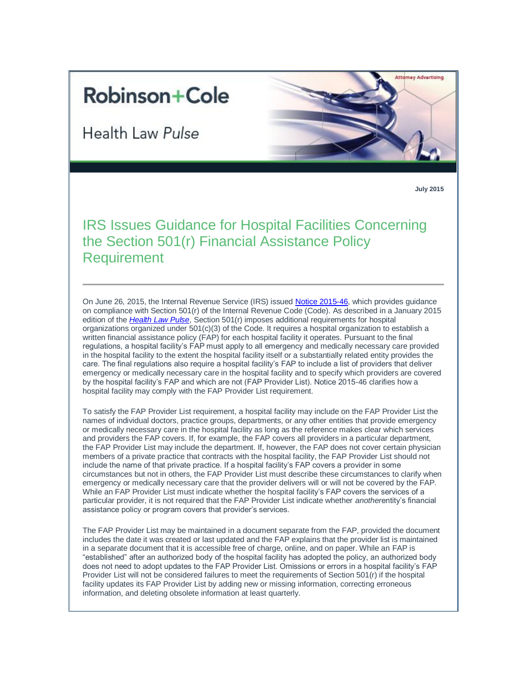## **Robinson+Cole**

**Health Law Pulse** 



**July 2015**

IRS Issues Guidance for Hospital Facilities Concerning the Section 501(r) Financial Assistance Policy Requirement

On June 26, 2015, the Internal Revenue Service (IRS) issued [Notice 2015-46,](http://www.irs.gov/pub/irs-drop/n-15-46.pdf) which provides guidance on compliance with Section 501(r) of the Internal Revenue Code (Code). As described in a January 2015 edition of the *[Health Law Pulse](http://www.rc.com/newsletters/2015/upload/Legal-Update_Health-Law-Pulse_1-21-15.pdf)*, Section 501(r) imposes additional requirements for hospital organizations organized under  $501(c)(3)$  of the Code. It requires a hospital organization to establish a written financial assistance policy (FAP) for each hospital facility it operates. Pursuant to the final regulations, a hospital facility's FAP must apply to all emergency and medically necessary care provided in the hospital facility to the extent the hospital facility itself or a substantially related entity provides the care. The final regulations also require a hospital facility's FAP to include a list of providers that deliver emergency or medically necessary care in the hospital facility and to specify which providers are covered by the hospital facility's FAP and which are not (FAP Provider List). Notice 2015-46 clarifies how a hospital facility may comply with the FAP Provider List requirement.

To satisfy the FAP Provider List requirement, a hospital facility may include on the FAP Provider List the names of individual doctors, practice groups, departments, or any other entities that provide emergency or medically necessary care in the hospital facility as long as the reference makes clear which services and providers the FAP covers. If, for example, the FAP covers all providers in a particular department, the FAP Provider List may include the department. If, however, the FAP does not cover certain physician members of a private practice that contracts with the hospital facility, the FAP Provider List should not include the name of that private practice. If a hospital facility's FAP covers a provider in some circumstances but not in others, the FAP Provider List must describe these circumstances to clarify when emergency or medically necessary care that the provider delivers will or will not be covered by the FAP. While an FAP Provider List must indicate whether the hospital facility's FAP covers the services of a particular provider, it is not required that the FAP Provider List indicate whether *another*entity's financial assistance policy or program covers that provider's services.

The FAP Provider List may be maintained in a document separate from the FAP, provided the document includes the date it was created or last updated and the FAP explains that the provider list is maintained in a separate document that it is accessible free of charge, online, and on paper. While an FAP is "established" after an authorized body of the hospital facility has adopted the policy, an authorized body does not need to adopt updates to the FAP Provider List. Omissions or errors in a hospital facility's FAP Provider List will not be considered failures to meet the requirements of Section 501(r) if the hospital facility updates its FAP Provider List by adding new or missing information, correcting erroneous information, and deleting obsolete information at least quarterly.